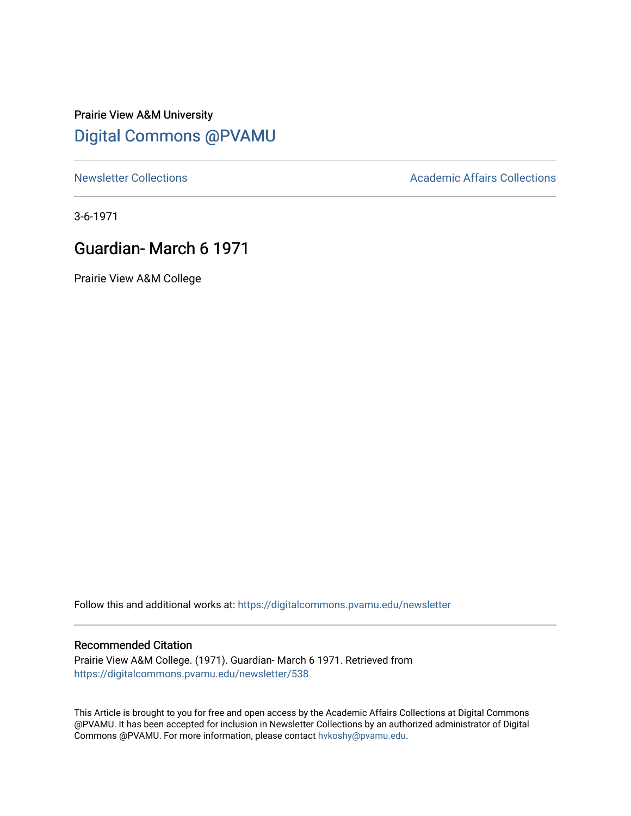## Prairie View A&M University [Digital Commons @PVAMU](https://digitalcommons.pvamu.edu/)

[Newsletter Collections](https://digitalcommons.pvamu.edu/newsletter) **Academic Affairs Collections Academic Affairs Collections** 

3-6-1971

## Guardian- March 6 1971

Prairie View A&M College

Follow this and additional works at: [https://digitalcommons.pvamu.edu/newsletter](https://digitalcommons.pvamu.edu/newsletter?utm_source=digitalcommons.pvamu.edu%2Fnewsletter%2F538&utm_medium=PDF&utm_campaign=PDFCoverPages) 

## Recommended Citation

Prairie View A&M College. (1971). Guardian- March 6 1971. Retrieved from [https://digitalcommons.pvamu.edu/newsletter/538](https://digitalcommons.pvamu.edu/newsletter/538?utm_source=digitalcommons.pvamu.edu%2Fnewsletter%2F538&utm_medium=PDF&utm_campaign=PDFCoverPages) 

This Article is brought to you for free and open access by the Academic Affairs Collections at Digital Commons @PVAMU. It has been accepted for inclusion in Newsletter Collections by an authorized administrator of Digital Commons @PVAMU. For more information, please contact [hvkoshy@pvamu.edu.](mailto:hvkoshy@pvamu.edu)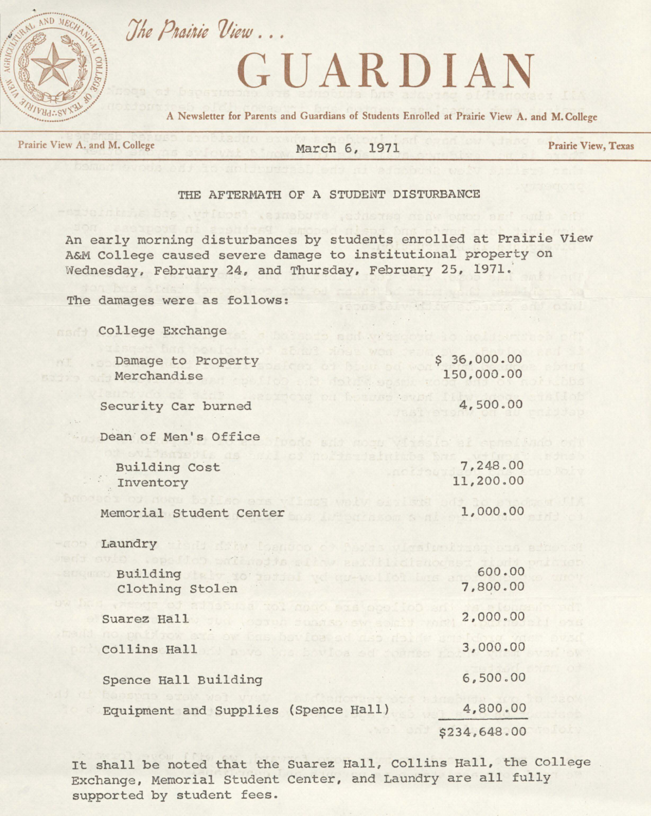

## GUARDIAN

A Newsletter for Parents and Guardians of Students Enrolled at Prairie View A. and M. College

Prairie View A. and M. College March 6, 1971 **Prairie View, Texas** 

THE AFTERMATH OF A STUDENT DISTURBANCE

An early morning disturbances by students enrolled at Prairie view A&M College caused severe damage to institutional property on Wednesday, February 24, and Thursday, February 25, 1971.·

The damages were as follows:

The Prairie View...

| College Exchange<br>o a dol vzie                                                               |                           |
|------------------------------------------------------------------------------------------------|---------------------------|
| HAND WOOL<br>Damage to Property<br><b>A Brasiling Bet WC</b><br>Merchandise<br>id follow       | \$36,000.00<br>150,000.00 |
| Official Press<br>Security Car burned                                                          | 4,500.00                  |
| Dean of Men's Office<br>sid month yins                                                         |                           |
| <b>Building Cost</b><br>Inventory                                                              | 7,248.00<br>11,200.00     |
| A CALIFORNIA<br>Memorial Student Center<br>frison N ni                                         | 1,000.00                  |
| Laundry<br>tisdi dity lognoco o favos virsinoliza, eta                                         |                           |
| Mon antaradis site and initiaten<br>Building labor to some the complete the<br>Clothing Stolen | 600.00<br>7,800.00        |
| suca tol nogo eza opolioD<br>Suarez Hall<br><b>LOOTOA CUMBO SW SOCIA</b>                       | 2,000.00                  |
| ow this boy foa ad aso dolds<br>Collins Hall<br>nove this boyloa ad coarso                     | 3,000.00                  |
| Spence Hall Building                                                                           | 6,500.00                  |
| Equipment and Supplies (Spence Hall)                                                           | 4,800.00                  |
|                                                                                                | \$234,648.00              |

It shall be noted that the Suarez Hall, Collins Hall, the College Exchange, Memorial Student Center, and Laundry are all fully supported by student fees.